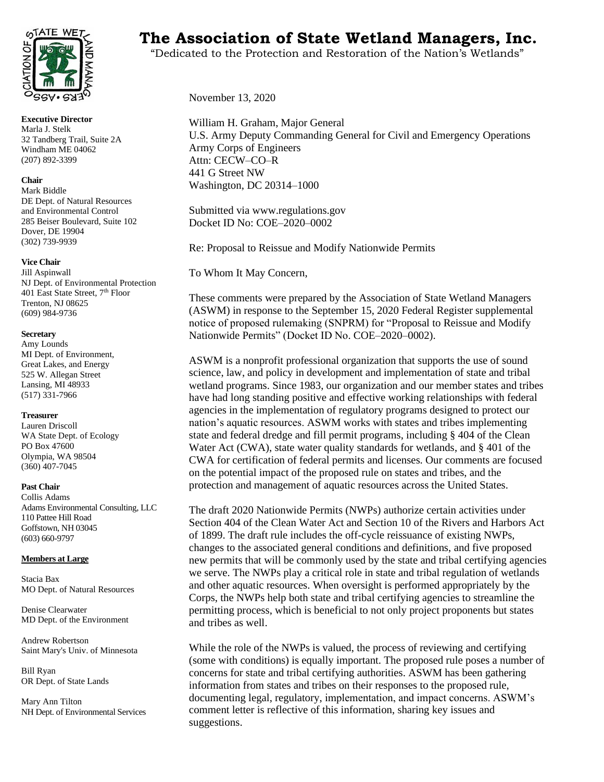

**Executive Director** Marla J. Stelk 32 Tandberg Trail, Suite 2A Windham ME 04062 (207) 892-3399

#### **Chair**

Mark Biddle DE Dept. of Natural Resources and Environmental Control 285 Beiser Boulevard, Suite 102 Dover, DE 19904 (302) 739-9939

#### **Vice Chair**

Jill Aspinwall NJ Dept. of Environmental Protection 401 East State Street, 7<sup>th</sup> Floor Trenton, NJ 08625 (609) 984-9736

#### **Secretary**

Amy Lounds MI Dept. of Environment, Great Lakes, and Energy 525 W. Allegan Street Lansing, MI 48933 (517) 331-7966

#### **Treasurer**

Lauren Driscoll WA State Dept. of Ecology PO Box 47600 Olympia, WA 98504 (360) 407-7045

#### **Past Chair**

Collis Adams Adams Environmental Consulting, LLC 110 Pattee Hill Road Goffstown, NH 03045 (603) 660-9797

#### **Members at Large**

Stacia Bax MO Dept. of Natural Resources

Denise Clearwater MD Dept. of the Environment

Andrew Robertson Saint Mary's Univ. of Minnesota

Bill Ryan OR Dept. of State Lands

Mary Ann Tilton NH Dept. of Environmental Services

# **THE WETCO THE Association of State Wetland Managers, Inc.**

"Dedicated to the Protection and Restoration of the Nation's Wetlands"

November 13, 2020

William H. Graham, Major General U.S. Army Deputy Commanding General for Civil and Emergency Operations Army Corps of Engineers Attn: CECW–CO–R 441 G Street NW Washington, DC 20314–1000

Submitted via www.regulations.gov Docket ID No: COE–2020–0002

Re: Proposal to Reissue and Modify Nationwide Permits

To Whom It May Concern,

These comments were prepared by the Association of State Wetland Managers (ASWM) in response to the September 15, 2020 Federal Register supplemental notice of proposed rulemaking (SNPRM) for "Proposal to Reissue and Modify Nationwide Permits" (Docket ID No. COE–2020–0002).

ASWM is a nonprofit professional organization that supports the use of sound science, law, and policy in development and implementation of state and tribal wetland programs. Since 1983, our organization and our member states and tribes have had long standing positive and effective working relationships with federal agencies in the implementation of regulatory programs designed to protect our nation's aquatic resources. ASWM works with states and tribes implementing state and federal dredge and fill permit programs, including § 404 of the Clean Water Act (CWA), state water quality standards for wetlands, and § 401 of the CWA for certification of federal permits and licenses. Our comments are focused on the potential impact of the proposed rule on states and tribes, and the protection and management of aquatic resources across the United States.

The draft 2020 Nationwide Permits (NWPs) authorize certain activities under Section 404 of the Clean Water Act and Section 10 of the Rivers and Harbors Act of 1899. The draft rule includes the off-cycle reissuance of existing NWPs, changes to the associated general conditions and definitions, and five proposed new permits that will be commonly used by the state and tribal certifying agencies we serve. The NWPs play a critical role in state and tribal regulation of wetlands and other aquatic resources. When oversight is performed appropriately by the Corps, the NWPs help both state and tribal certifying agencies to streamline the permitting process, which is beneficial to not only project proponents but states and tribes as well.

While the role of the NWPs is valued, the process of reviewing and certifying (some with conditions) is equally important. The proposed rule poses a number of concerns for state and tribal certifying authorities. ASWM has been gathering information from states and tribes on their responses to the proposed rule, documenting legal, regulatory, implementation, and impact concerns. ASWM's comment letter is reflective of this information, sharing key issues and suggestions.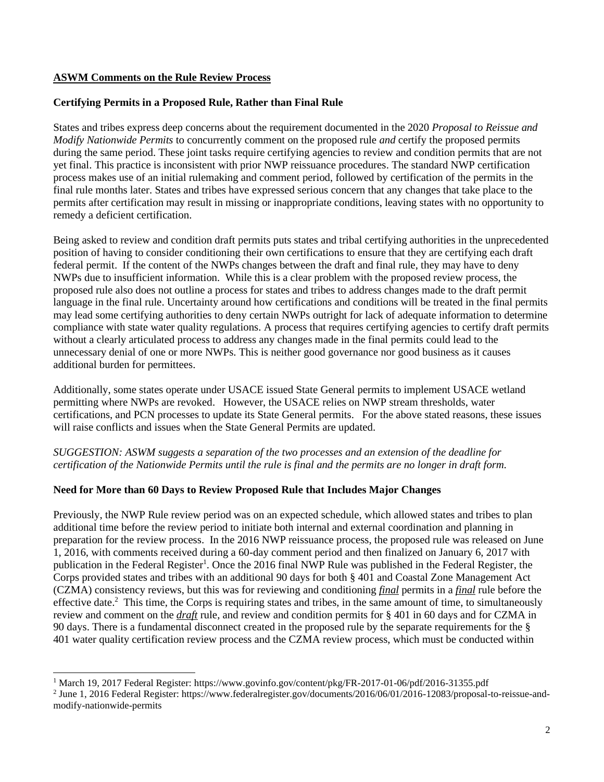# **ASWM Comments on the Rule Review Process**

# **Certifying Permits in a Proposed Rule, Rather than Final Rule**

States and tribes express deep concerns about the requirement documented in the 2020 *Proposal to Reissue and Modify Nationwide Permits* to concurrently comment on the proposed rule *and* certify the proposed permits during the same period. These joint tasks require certifying agencies to review and condition permits that are not yet final. This practice is inconsistent with prior NWP reissuance procedures. The standard NWP certification process makes use of an initial rulemaking and comment period, followed by certification of the permits in the final rule months later. States and tribes have expressed serious concern that any changes that take place to the permits after certification may result in missing or inappropriate conditions, leaving states with no opportunity to remedy a deficient certification.

Being asked to review and condition draft permits puts states and tribal certifying authorities in the unprecedented position of having to consider conditioning their own certifications to ensure that they are certifying each draft federal permit. If the content of the NWPs changes between the draft and final rule, they may have to deny NWPs due to insufficient information. While this is a clear problem with the proposed review process, the proposed rule also does not outline a process for states and tribes to address changes made to the draft permit language in the final rule. Uncertainty around how certifications and conditions will be treated in the final permits may lead some certifying authorities to deny certain NWPs outright for lack of adequate information to determine compliance with state water quality regulations. A process that requires certifying agencies to certify draft permits without a clearly articulated process to address any changes made in the final permits could lead to the unnecessary denial of one or more NWPs. This is neither good governance nor good business as it causes additional burden for permittees.

Additionally, some states operate under USACE issued State General permits to implement USACE wetland permitting where NWPs are revoked. However, the USACE relies on NWP stream thresholds, water certifications, and PCN processes to update its State General permits. For the above stated reasons, these issues will raise conflicts and issues when the State General Permits are updated.

*SUGGESTION: ASWM suggests a separation of the two processes and an extension of the deadline for certification of the Nationwide Permits until the rule is final and the permits are no longer in draft form.*

## **Need for More than 60 Days to Review Proposed Rule that Includes Major Changes**

Previously, the NWP Rule review period was on an expected schedule, which allowed states and tribes to plan additional time before the review period to initiate both internal and external coordination and planning in preparation for the review process. In the 2016 NWP reissuance process, the proposed rule was released on June 1, 2016, with comments received during a 60-day comment period and then finalized on January 6, 2017 with publication in the Federal Register<sup>1</sup>. Once the 2016 final NWP Rule was published in the Federal Register, the Corps provided states and tribes with an additional 90 days for both § 401 and Coastal Zone Management Act (CZMA) consistency reviews, but this was for reviewing and conditioning *final* permits in a *final* rule before the effective date.<sup>2</sup> This time, the Corps is requiring states and tribes, in the same amount of time, to simultaneously review and comment on the *draft* rule, and review and condition permits for § 401 in 60 days and for CZMA in 90 days. There is a fundamental disconnect created in the proposed rule by the separate requirements for the § 401 water quality certification review process and the CZMA review process, which must be conducted within

<sup>1</sup> March 19, 2017 Federal Register: https://www.govinfo.gov/content/pkg/FR-2017-01-06/pdf/2016-31355.pdf

<sup>2</sup> June 1, 2016 Federal Register: https://www.federalregister.gov/documents/2016/06/01/2016-12083/proposal-to-reissue-andmodify-nationwide-permits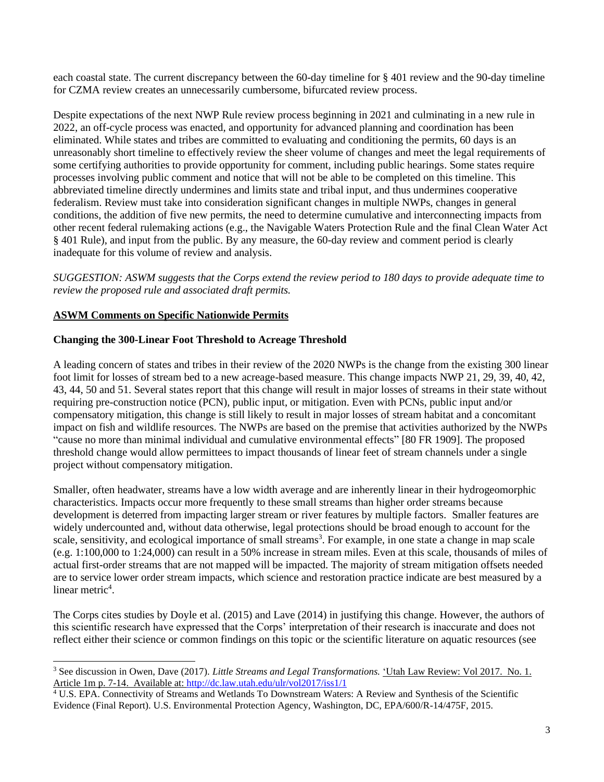each coastal state. The current discrepancy between the 60-day timeline for § 401 review and the 90-day timeline for CZMA review creates an unnecessarily cumbersome, bifurcated review process.

Despite expectations of the next NWP Rule review process beginning in 2021 and culminating in a new rule in 2022, an off-cycle process was enacted, and opportunity for advanced planning and coordination has been eliminated. While states and tribes are committed to evaluating and conditioning the permits, 60 days is an unreasonably short timeline to effectively review the sheer volume of changes and meet the legal requirements of some certifying authorities to provide opportunity for comment, including public hearings. Some states require processes involving public comment and notice that will not be able to be completed on this timeline. This abbreviated timeline directly undermines and limits state and tribal input, and thus undermines cooperative federalism. Review must take into consideration significant changes in multiple NWPs, changes in general conditions, the addition of five new permits, the need to determine cumulative and interconnecting impacts from other recent federal rulemaking actions (e.g., the Navigable Waters Protection Rule and the final Clean Water Act § 401 Rule), and input from the public. By any measure, the 60-day review and comment period is clearly inadequate for this volume of review and analysis.

*SUGGESTION: ASWM suggests that the Corps extend the review period to 180 days to provide adequate time to review the proposed rule and associated draft permits.*

# **ASWM Comments on Specific Nationwide Permits**

## **Changing the 300-Linear Foot Threshold to Acreage Threshold**

A leading concern of states and tribes in their review of the 2020 NWPs is the change from the existing 300 linear foot limit for losses of stream bed to a new acreage-based measure. This change impacts NWP 21, 29, 39, 40, 42, 43, 44, 50 and 51. Several states report that this change will result in major losses of streams in their state without requiring pre-construction notice (PCN), public input, or mitigation. Even with PCNs, public input and/or compensatory mitigation, this change is still likely to result in major losses of stream habitat and a concomitant impact on fish and wildlife resources. The NWPs are based on the premise that activities authorized by the NWPs "cause no more than minimal individual and cumulative environmental effects" [80 FR 1909]. The proposed threshold change would allow permittees to impact thousands of linear feet of stream channels under a single project without compensatory mitigation.

Smaller, often headwater, streams have a low width average and are inherently linear in their hydrogeomorphic characteristics. Impacts occur more frequently to these small streams than higher order streams because development is deterred from impacting larger stream or river features by multiple factors. Smaller features are widely undercounted and, without data otherwise, legal protections should be broad enough to account for the scale, sensitivity, and ecological importance of small streams<sup>3</sup>. For example, in one state a change in map scale (e.g. 1:100,000 to 1:24,000) can result in a 50% increase in stream miles. Even at this scale, thousands of miles of actual first-order streams that are not mapped will be impacted. The majority of stream mitigation offsets needed are to service lower order stream impacts, which science and restoration practice indicate are best measured by a linear metric<sup>4</sup>.

The Corps cites studies by Doyle et al. (2015) and Lave (2014) in justifying this change. However, the authors of this scientific research have expressed that the Corps' interpretation of their research is inaccurate and does not reflect either their science or common findings on this topic or the scientific literature on aquatic resources (see

<sup>3</sup> See discussion in Owen, Dave (2017). *Little Streams and Legal Transformations.* 'Utah Law Review: Vol 2017. No. 1. Article 1m p. 7-14. Available at:<http://dc.law.utah.edu/ulr/vol2017/iss1/1>

<sup>4</sup> U.S. EPA. Connectivity of Streams and Wetlands To Downstream Waters: A Review and Synthesis of the Scientific Evidence (Final Report). U.S. Environmental Protection Agency, Washington, DC, EPA/600/R-14/475F, 2015.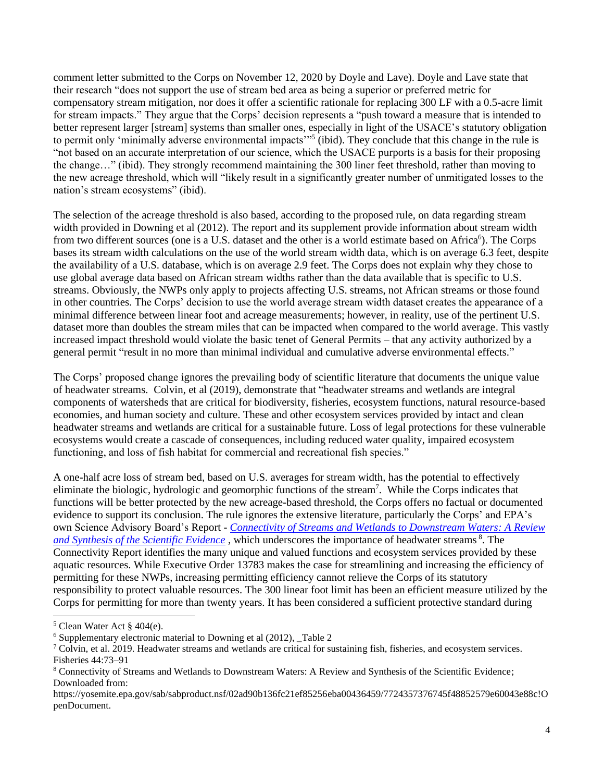comment letter submitted to the Corps on November 12, 2020 by Doyle and Lave). Doyle and Lave state that their research "does not support the use of stream bed area as being a superior or preferred metric for compensatory stream mitigation, nor does it offer a scientific rationale for replacing 300 LF with a 0.5-acre limit for stream impacts." They argue that the Corps' decision represents a "push toward a measure that is intended to better represent larger [stream] systems than smaller ones, especially in light of the USACE's statutory obligation to permit only 'minimally adverse environmental impacts'"<sup>5</sup> (ibid). They conclude that this change in the rule is "not based on an accurate interpretation of our science, which the USACE purports is a basis for their proposing the change…" (ibid). They strongly recommend maintaining the 300 liner feet threshold, rather than moving to the new acreage threshold, which will "likely result in a significantly greater number of unmitigated losses to the nation's stream ecosystems" (ibid).

The selection of the acreage threshold is also based, according to the proposed rule, on data regarding stream width provided in Downing et al (2012). The report and its supplement provide information about stream width from two different sources (one is a U.S. dataset and the other is a world estimate based on Africa<sup>6</sup>). The Corps bases its stream width calculations on the use of the world stream width data, which is on average 6.3 feet, despite the availability of a U.S. database, which is on average 2.9 feet. The Corps does not explain why they chose to use global average data based on African stream widths rather than the data available that is specific to U.S. streams. Obviously, the NWPs only apply to projects affecting U.S. streams, not African streams or those found in other countries. The Corps' decision to use the world average stream width dataset creates the appearance of a minimal difference between linear foot and acreage measurements; however, in reality, use of the pertinent U.S. dataset more than doubles the stream miles that can be impacted when compared to the world average. This vastly increased impact threshold would violate the basic tenet of General Permits – that any activity authorized by a general permit "result in no more than minimal individual and cumulative adverse environmental effects."

The Corps' proposed change ignores the prevailing body of scientific literature that documents the unique value of headwater streams. Colvin, et al (2019), demonstrate that "headwater streams and wetlands are integral components of watersheds that are critical for biodiversity, fisheries, ecosystem functions, natural resource-based economies, and human society and culture. These and other ecosystem services provided by intact and clean headwater streams and wetlands are critical for a sustainable future. Loss of legal protections for these vulnerable ecosystems would create a cascade of consequences, including reduced water quality, impaired ecosystem functioning, and loss of fish habitat for commercial and recreational fish species."

A one-half acre loss of stream bed, based on U.S. averages for stream width, has the potential to effectively eliminate the biologic, hydrologic and geomorphic functions of the stream<sup>7</sup>. While the Corps indicates that functions will be better protected by the new acreage-based threshold, the Corps offers no factual or documented evidence to support its conclusion. The rule ignores the extensive literature, particularly the Corps' and EPA's own Science Advisory Board's Report - *[Connectivity of Streams and Wetlands to Downstream Waters: A Review](https://yosemite.epa.gov/sab/sabproduct.nsf/02ad90b136fc21ef85256eba00436459/7724357376745f48852579e60043e88c!OpenDocument)  [and Synthesis of the Scientific Evidence](https://yosemite.epa.gov/sab/sabproduct.nsf/02ad90b136fc21ef85256eba00436459/7724357376745f48852579e60043e88c!OpenDocument)* , which underscores the importance of headwater streams <sup>8</sup> . The Connectivity Report identifies the many unique and valued functions and ecosystem services provided by these aquatic resources. While Executive Order 13783 makes the case for streamlining and increasing the efficiency of permitting for these NWPs, increasing permitting efficiency cannot relieve the Corps of its statutory responsibility to protect valuable resources. The 300 linear foot limit has been an efficient measure utilized by the Corps for permitting for more than twenty years. It has been considered a sufficient protective standard during

<sup>5</sup> Clean Water Act § 404(e).

 $6$  Supplementary electronic material to Downing et al (2012), Table 2

 $\textsuperscript{7}$  Colvin, et al. 2019. Headwater streams and wetlands are critical for sustaining fish, fisheries, and ecosystem services. Fisheries 44:73–91

<sup>8</sup> Connectivity of Streams and Wetlands to Downstream Waters: A Review and Synthesis of the Scientific Evidence; Downloaded from:

https://yosemite.epa.gov/sab/sabproduct.nsf/02ad90b136fc21ef85256eba00436459/7724357376745f48852579e60043e88c!O penDocument.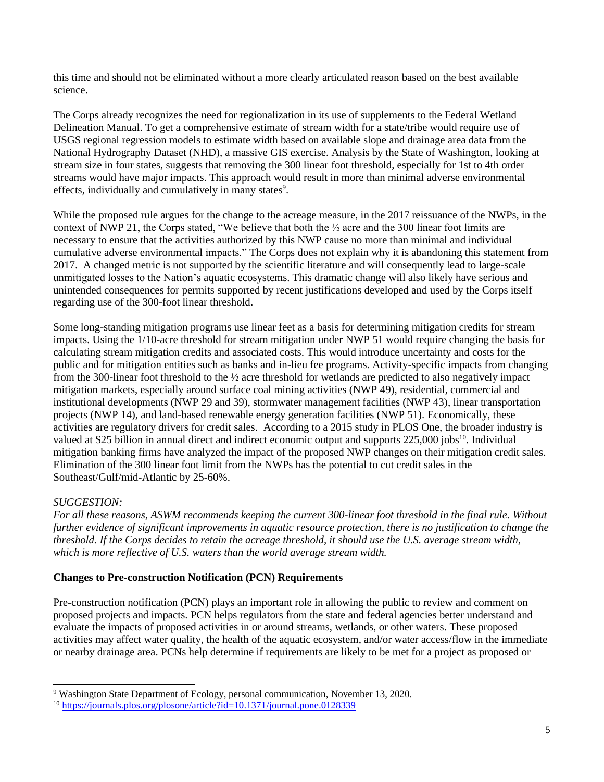this time and should not be eliminated without a more clearly articulated reason based on the best available science.

The Corps already recognizes the need for regionalization in its use of supplements to the Federal Wetland Delineation Manual. To get a comprehensive estimate of stream width for a state/tribe would require use of USGS regional regression models to estimate width based on available slope and drainage area data from the National Hydrography Dataset (NHD), a massive GIS exercise. Analysis by the State of Washington, looking at stream size in four states, suggests that removing the 300 linear foot threshold, especially for 1st to 4th order streams would have major impacts. This approach would result in more than minimal adverse environmental effects, individually and cumulatively in many states<sup>9</sup>.

While the proposed rule argues for the change to the acreage measure, in the 2017 reissuance of the NWPs, in the context of NWP 21, the Corps stated, "We believe that both the ½ acre and the 300 linear foot limits are necessary to ensure that the activities authorized by this NWP cause no more than minimal and individual cumulative adverse environmental impacts." The Corps does not explain why it is abandoning this statement from 2017. A changed metric is not supported by the scientific literature and will consequently lead to large-scale unmitigated losses to the Nation's aquatic ecosystems. This dramatic change will also likely have serious and unintended consequences for permits supported by recent justifications developed and used by the Corps itself regarding use of the 300-foot linear threshold.

Some long-standing mitigation programs use linear feet as a basis for determining mitigation credits for stream impacts. Using the 1/10-acre threshold for stream mitigation under NWP 51 would require changing the basis for calculating stream mitigation credits and associated costs. This would introduce uncertainty and costs for the public and for mitigation entities such as banks and in-lieu fee programs. Activity-specific impacts from changing from the 300-linear foot threshold to the ½ acre threshold for wetlands are predicted to also negatively impact mitigation markets, especially around surface coal mining activities (NWP 49), residential, commercial and institutional developments (NWP 29 and 39), stormwater management facilities (NWP 43), linear transportation projects (NWP 14), and land-based renewable energy generation facilities (NWP 51). Economically, these activities are regulatory drivers for credit sales. According to a 2015 study in PLOS One, the broader industry is valued at \$25 billion in annual direct and indirect economic output and supports 225,000 jobs<sup>10</sup>. Individual mitigation banking firms have analyzed the impact of the proposed NWP changes on their mitigation credit sales. Elimination of the 300 linear foot limit from the NWPs has the potential to cut credit sales in the Southeast/Gulf/mid-Atlantic by 25-60%.

# *SUGGESTION:*

*For all these reasons, ASWM recommends keeping the current 300-linear foot threshold in the final rule. Without further evidence of significant improvements in aquatic resource protection, there is no justification to change the threshold. If the Corps decides to retain the acreage threshold, it should use the U.S. average stream width, which is more reflective of U.S. waters than the world average stream width.*

## **Changes to Pre-construction Notification (PCN) Requirements**

Pre-construction notification (PCN) plays an important role in allowing the public to review and comment on proposed projects and impacts. PCN helps regulators from the state and federal agencies better understand and evaluate the impacts of proposed activities in or around streams, wetlands, or other waters. These proposed activities may affect water quality, the health of the aquatic ecosystem, and/or water access/flow in the immediate or nearby drainage area. PCNs help determine if requirements are likely to be met for a project as proposed or

<sup>9</sup> Washington State Department of Ecology, personal communication, November 13, 2020.

<sup>&</sup>lt;sup>10</sup> [https://journals.plos.org/plosone/article?id=10.1371/journal.pone.0128339](https://urldefense.proofpoint.com/v2/url?u=https-3A__journals.plos.org_plosone_article-3Fid-3D10.1371_journal.pone.0128339&d=DwMF-g&c=euGZstcaTDllvimEN8b7jXrwqOf-v5A_CdpgnVfiiMM&r=YJtUsPquArrfJLwuEQD6yg&m=PTUVhkccxciK4UQ1ryAwnEQiIL5QTMJagjI3icdG1k4&s=SL0iqkalp5ObNfrik6jXqeYEHuZep7HDTAJ_7oXTpvg&e=)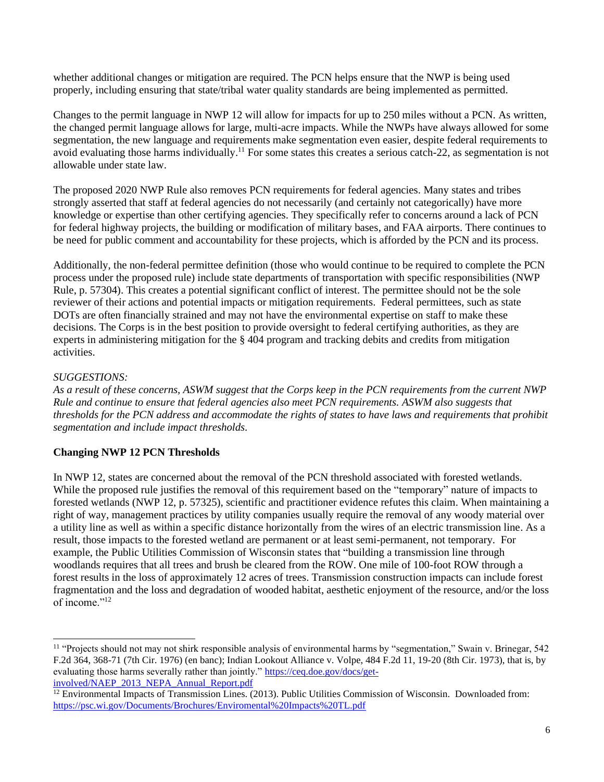whether additional changes or mitigation are required. The PCN helps ensure that the NWP is being used properly, including ensuring that state/tribal water quality standards are being implemented as permitted.

Changes to the permit language in NWP 12 will allow for impacts for up to 250 miles without a PCN. As written, the changed permit language allows for large, multi-acre impacts. While the NWPs have always allowed for some segmentation, the new language and requirements make segmentation even easier, despite federal requirements to avoid evaluating those harms individually.<sup>11</sup> For some states this creates a serious catch-22, as segmentation is not allowable under state law.

The proposed 2020 NWP Rule also removes PCN requirements for federal agencies. Many states and tribes strongly asserted that staff at federal agencies do not necessarily (and certainly not categorically) have more knowledge or expertise than other certifying agencies. They specifically refer to concerns around a lack of PCN for federal highway projects, the building or modification of military bases, and FAA airports. There continues to be need for public comment and accountability for these projects, which is afforded by the PCN and its process.

Additionally, the non-federal permittee definition (those who would continue to be required to complete the PCN process under the proposed rule) include state departments of transportation with specific responsibilities (NWP Rule, p. 57304). This creates a potential significant conflict of interest. The permittee should not be the sole reviewer of their actions and potential impacts or mitigation requirements. Federal permittees, such as state DOTs are often financially strained and may not have the environmental expertise on staff to make these decisions. The Corps is in the best position to provide oversight to federal certifying authorities, as they are experts in administering mitigation for the § 404 program and tracking debits and credits from mitigation activities.

# *SUGGESTIONS:*

*As a result of these concerns, ASWM suggest that the Corps keep in the PCN requirements from the current NWP Rule and continue to ensure that federal agencies also meet PCN requirements. ASWM also suggests that thresholds for the PCN address and accommodate the rights of states to have laws and requirements that prohibit segmentation and include impact thresholds.*

# **Changing NWP 12 PCN Thresholds**

In NWP 12, states are concerned about the removal of the PCN threshold associated with forested wetlands. While the proposed rule justifies the removal of this requirement based on the "temporary" nature of impacts to forested wetlands (NWP 12, p. 57325), scientific and practitioner evidence refutes this claim. When maintaining a right of way, management practices by utility companies usually require the removal of any woody material over a utility line as well as within a specific distance horizontally from the wires of an electric transmission line. As a result, those impacts to the forested wetland are permanent or at least semi-permanent, not temporary. For example, the Public Utilities Commission of Wisconsin states that "building a transmission line through woodlands requires that all trees and brush be cleared from the ROW. One mile of 100-foot ROW through a forest results in the loss of approximately 12 acres of trees. Transmission construction impacts can include forest fragmentation and the loss and degradation of wooded habitat, aesthetic enjoyment of the resource, and/or the loss of income."<sup>12</sup>

<sup>&</sup>lt;sup>11</sup> "Projects should not may not shirk responsible analysis of environmental harms by "segmentation," Swain v. Brinegar, 542 F.2d 364, 368-71 (7th Cir. 1976) (en banc); Indian Lookout Alliance v. Volpe, 484 F.2d 11, 19-20 (8th Cir. 1973), that is, by evaluating those harms severally rather than jointly." [https://ceq.doe.gov/docs/get](https://ceq.doe.gov/docs/get-involved/NAEP_2013_NEPA_Annual_Report.pdf)[involved/NAEP\\_2013\\_NEPA\\_Annual\\_Report.pdf](https://ceq.doe.gov/docs/get-involved/NAEP_2013_NEPA_Annual_Report.pdf)

<sup>&</sup>lt;sup>12</sup> Environmental Impacts of Transmission Lines. (2013). Public Utilities Commission of Wisconsin. Downloaded from: <https://psc.wi.gov/Documents/Brochures/Enviromental%20Impacts%20TL.pdf>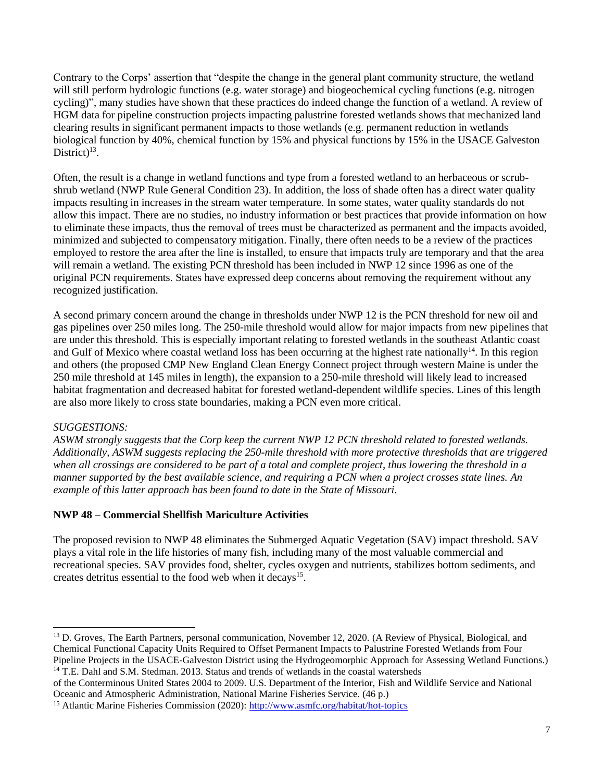Contrary to the Corps' assertion that "despite the change in the general plant community structure, the wetland will still perform hydrologic functions (e.g. water storage) and biogeochemical cycling functions (e.g. nitrogen cycling)", many studies have shown that these practices do indeed change the function of a wetland. A review of HGM data for pipeline construction projects impacting palustrine forested wetlands shows that mechanized land clearing results in significant permanent impacts to those wetlands (e.g. permanent reduction in wetlands biological function by 40%, chemical function by 15% and physical functions by 15% in the USACE Galveston District) $13$ .

Often, the result is a change in wetland functions and type from a forested wetland to an herbaceous or scrubshrub wetland (NWP Rule General Condition 23). In addition, the loss of shade often has a direct water quality impacts resulting in increases in the stream water temperature. In some states, water quality standards do not allow this impact. There are no studies, no industry information or best practices that provide information on how to eliminate these impacts, thus the removal of trees must be characterized as permanent and the impacts avoided, minimized and subjected to compensatory mitigation. Finally, there often needs to be a review of the practices employed to restore the area after the line is installed, to ensure that impacts truly are temporary and that the area will remain a wetland. The existing PCN threshold has been included in NWP 12 since 1996 as one of the original PCN requirements. States have expressed deep concerns about removing the requirement without any recognized justification.

A second primary concern around the change in thresholds under NWP 12 is the PCN threshold for new oil and gas pipelines over 250 miles long. The 250-mile threshold would allow for major impacts from new pipelines that are under this threshold. This is especially important relating to forested wetlands in the southeast Atlantic coast and Gulf of Mexico where coastal wetland loss has been occurring at the highest rate nationally<sup>14</sup>. In this region and others (the proposed CMP New England Clean Energy Connect project through western Maine is under the 250 mile threshold at 145 miles in length), the expansion to a 250-mile threshold will likely lead to increased habitat fragmentation and decreased habitat for forested wetland-dependent wildlife species. Lines of this length are also more likely to cross state boundaries, making a PCN even more critical.

# *SUGGESTIONS:*

*ASWM strongly suggests that the Corp keep the current NWP 12 PCN threshold related to forested wetlands. Additionally, ASWM suggests replacing the 250-mile threshold with more protective thresholds that are triggered when all crossings are considered to be part of a total and complete project, thus lowering the threshold in a manner supported by the best available science, and requiring a PCN when a project crosses state lines. An example of this latter approach has been found to date in the State of Missouri.*

## **NWP 48 – Commercial Shellfish Mariculture Activities**

The proposed revision to NWP 48 eliminates the Submerged Aquatic Vegetation (SAV) impact threshold. SAV plays a vital role in the life histories of many fish, including many of the most valuable commercial and recreational species. SAV provides food, shelter, cycles oxygen and nutrients, stabilizes bottom sediments, and creates detritus essential to the food web when it decays<sup>15</sup>.

<sup>&</sup>lt;sup>13</sup> D. Groves, The Earth Partners, personal communication, November 12, 2020. (A Review of Physical, Biological, and Chemical Functional Capacity Units Required to Offset Permanent Impacts to Palustrine Forested Wetlands from Four Pipeline Projects in the USACE-Galveston District using the Hydrogeomorphic Approach for Assessing Wetland Functions.) <sup>14</sup> T.E. Dahl and S.M. Stedman. 2013. Status and trends of wetlands in the coastal watersheds

of the Conterminous United States 2004 to 2009. U.S. Department of the Interior, Fish and Wildlife Service and National Oceanic and Atmospheric Administration, National Marine Fisheries Service. (46 p.)

<sup>&</sup>lt;sup>15</sup> Atlantic Marine Fisheries Commission (2020)[: http://www.asmfc.org/habitat/hot-topics](http://www.asmfc.org/habitat/hot-topics)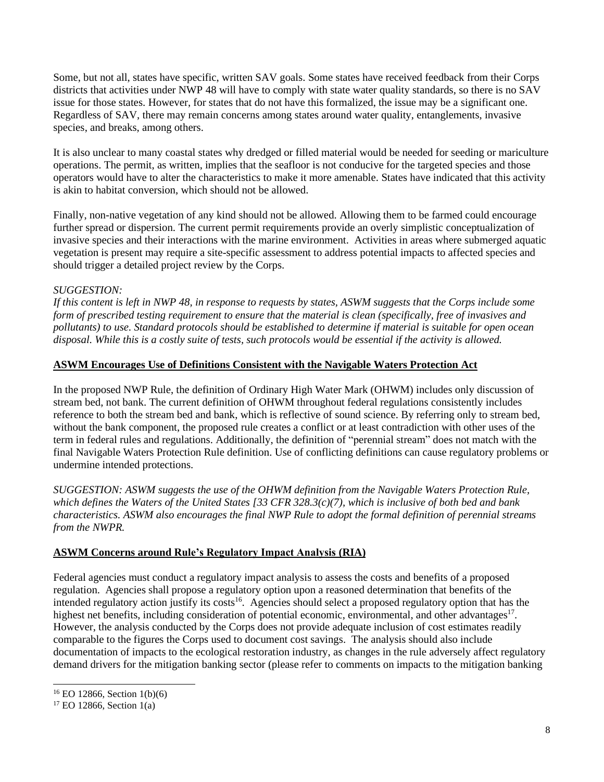Some, but not all, states have specific, written SAV goals. Some states have received feedback from their Corps districts that activities under NWP 48 will have to comply with state water quality standards, so there is no SAV issue for those states. However, for states that do not have this formalized, the issue may be a significant one. Regardless of SAV, there may remain concerns among states around water quality, entanglements, invasive species, and breaks, among others.

It is also unclear to many coastal states why dredged or filled material would be needed for seeding or mariculture operations. The permit, as written, implies that the seafloor is not conducive for the targeted species and those operators would have to alter the characteristics to make it more amenable. States have indicated that this activity is akin to habitat conversion, which should not be allowed.

Finally, non-native vegetation of any kind should not be allowed. Allowing them to be farmed could encourage further spread or dispersion. The current permit requirements provide an overly simplistic conceptualization of invasive species and their interactions with the marine environment. Activities in areas where submerged aquatic vegetation is present may require a site-specific assessment to address potential impacts to affected species and should trigger a detailed project review by the Corps.

# *SUGGESTION:*

*If this content is left in NWP 48, in response to requests by states, ASWM suggests that the Corps include some form of prescribed testing requirement to ensure that the material is clean (specifically, free of invasives and pollutants) to use. Standard protocols should be established to determine if material is suitable for open ocean disposal. While this is a costly suite of tests, such protocols would be essential if the activity is allowed.*

## **ASWM Encourages Use of Definitions Consistent with the Navigable Waters Protection Act**

In the proposed NWP Rule, the definition of Ordinary High Water Mark (OHWM) includes only discussion of stream bed, not bank. The current definition of OHWM throughout federal regulations consistently includes reference to both the stream bed and bank, which is reflective of sound science. By referring only to stream bed, without the bank component, the proposed rule creates a conflict or at least contradiction with other uses of the term in federal rules and regulations. Additionally, the definition of "perennial stream" does not match with the final Navigable Waters Protection Rule definition. Use of conflicting definitions can cause regulatory problems or undermine intended protections.

*SUGGESTION: ASWM suggests the use of the OHWM definition from the Navigable Waters Protection Rule, which defines the Waters of the United States [33 CFR 328.3(c)(7), which is inclusive of both bed and bank characteristics. ASWM also encourages the final NWP Rule to adopt the formal definition of perennial streams from the NWPR.*

# **ASWM Concerns around Rule's Regulatory Impact Analysis (RIA)**

Federal agencies must conduct a regulatory impact analysis to assess the costs and benefits of a proposed regulation. Agencies shall propose a regulatory option upon a reasoned determination that benefits of the intended regulatory action justify its costs<sup>16</sup>. Agencies should select a proposed regulatory option that has the highest net benefits, including consideration of potential economic, environmental, and other advantages<sup>17</sup>. However, the analysis conducted by the Corps does not provide adequate inclusion of cost estimates readily comparable to the figures the Corps used to document cost savings. The analysis should also include documentation of impacts to the ecological restoration industry, as changes in the rule adversely affect regulatory demand drivers for the mitigation banking sector (please refer to comments on impacts to the mitigation banking

<sup>16</sup> EO 12866, Section 1(b)(6)

 $17$  EO 12866, Section 1(a)